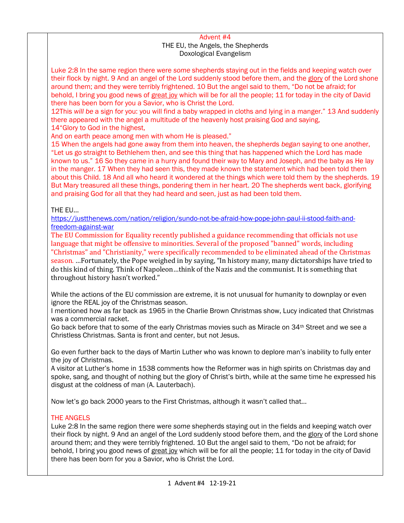## Advent #4

THE EU, the Angels, the Shepherds Doxological Evangelism

Luke 2:8 In the same region there were *some* shepherds staying out in the fields and keeping watch over their flock by night. 9 And an angel of the Lord suddenly stood before them, and the glory of the Lord shone around them; and they were terribly frightened. 10 But the angel said to them, "Do not be afraid; for behold, I bring you good news of great joy which will be for all the people; 11 for today in the city of David there has been born for you a Savior, who is Christ the Lord.

12This *will be* a sign for you: you will find a baby wrapped in cloths and lying in a manger." 13 And suddenly there appeared with the angel a multitude of the heavenly host praising God and saying, 14"Glory to God in the highest,

And on earth peace among men with whom He is pleased."

15 When the angels had gone away from them into heaven, the shepherds *began* saying to one another, "Let us go straight to Bethlehem then, and see this thing that has happened which the Lord has made known to us." 16 So they came in a hurry and found their way to Mary and Joseph, and the baby as He lay in the manger. 17 When they had seen this, they made known the statement which had been told them about this Child. 18 And all who heard it wondered at the things which were told them by the shepherds. 19 But Mary treasured all these things, pondering them in her heart. 20 The shepherds went back, glorifying and praising God for all that they had heard and seen, just as had been told them.

## THE EU…

[https://justthenews.com/nation/religion/sundo-not-be-afraid-how-pope-john-paul-ii-stood-faith-and](https://justthenews.com/nation/religion/sundo-not-be-afraid-how-pope-john-paul-ii-stood-faith-and-freedom-against-war)[freedom-against-war](https://justthenews.com/nation/religion/sundo-not-be-afraid-how-pope-john-paul-ii-stood-faith-and-freedom-against-war)

The EU Commission for Equality recently published a guidance recommending that officials not use language that might be offensive to minorities. Several of the proposed "banned" words, including "Christmas" and "Christianity," were specifically recommended to be eliminated ahead of the Christmas season. …Fortunately, the Pope weighed in by saying, "In history many, many dictatorships have tried to do this kind of thing. Think of Napoleon…think of the Nazis and the communist. It is something that throughout history hasn't worked."

While the actions of the EU commission are extreme, it is not unusual for humanity to downplay or even ignore the REAL joy of the Christmas season.

I mentioned how as far back as 1965 in the Charlie Brown Christmas show, Lucy indicated that Christmas was a commercial racket.

Go back before that to some of the early Christmas movies such as Miracle on 34<sup>th</sup> Street and we see a Christless Christmas. Santa is front and center, but not Jesus.

Go even further back to the days of Martin Luther who was known to deplore man's inability to fully enter the joy of Christmas.

A visitor at Luther's home in 1538 comments how the Reformer was in high spirits on Christmas day and spoke, sang, and thought of nothing but the glory of Christ's birth, while at the same time he expressed his disgust at the coldness of man (A. Lauterbach).

Now let's go back 2000 years to the First Christmas, although it wasn't called that…

## THE ANGELS

Luke 2:8 In the same region there were *some* shepherds staying out in the fields and keeping watch over their flock by night. 9 And an angel of the Lord suddenly stood before them, and the glory of the Lord shone around them; and they were terribly frightened. 10 But the angel said to them, "Do not be afraid; for behold, I bring you good news of great joy which will be for all the people; 11 for today in the city of David there has been born for you a Savior, who is Christ the Lord.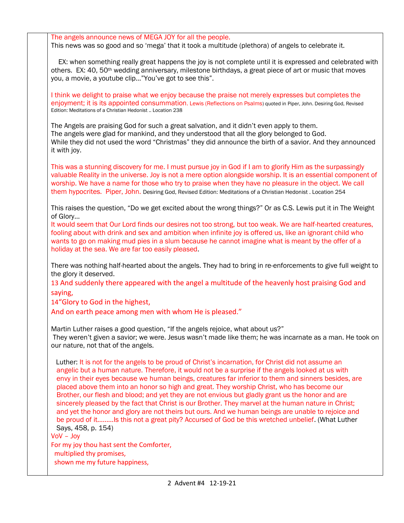The angels announce news of MEGA JOY for all the people. This news was so good and so 'mega' that it took a multitude (plethora) of angels to celebrate it. EX: when something really great happens the joy is not complete until it is expressed and celebrated with others. EX: 40, 50th wedding anniversary, milestone birthdays, a great piece of art or music that moves you, a movie, a youtube clip…"You've got to see this". I think we delight to praise what we enjoy because the praise not merely expresses but completes the enjoyment; it is its appointed consummation. Lewis (Reflections on Psalms) quoted in Piper, John. Desiring God, Revised Edition: Meditations of a Christian Hedonist .. Location 238 The Angels are praising God for such a great salvation, and it didn't even apply to them. The angels were glad for mankind, and they understood that all the glory belonged to God. While they did not used the word "Christmas" they did announce the birth of a savior. And they announced it with joy. This was a stunning discovery for me. I must pursue joy in God if I am to glorify Him as the surpassingly valuable Reality in the universe. Joy is not a mere option alongside worship. It is an essential component of worship. We have a name for those who try to praise when they have no pleasure in the object. We call them hypocrites. Piper, John. Desiring God, Revised Edition: Meditations of a Christian Hedonist . Location 254 This raises the question, "Do we get excited about the wrong things?" Or as C.S. Lewis put it in The Weight of Glory… It would seem that Our Lord finds our desires not too strong, but too weak. We are half-hearted creatures, fooling about with drink and sex and ambition when infinite joy is offered us, like an ignorant child who wants to go on making mud pies in a slum because he cannot imagine what is meant by the offer of a holiday at the sea. We are far too easily pleased. There was nothing half-hearted about the angels. They had to bring in re-enforcements to give full weight to the glory it deserved. 13 And suddenly there appeared with the angel a multitude of the heavenly host praising God and saying, 14"Glory to God in the highest, And on earth peace among men with whom He is pleased." Martin Luther raises a good question, "If the angels rejoice, what about us?" They weren't given a savior; we were. Jesus wasn't made like them; he was incarnate as a man. He took on our nature, not that of the angels. Luther: It is not for the angels to be proud of Christ's incarnation, for Christ did not assume an angelic but a human nature. Therefore, it would not be a surprise if the angels looked at us with envy in their eyes because we human beings, creatures far inferior to them and sinners besides, are placed above them into an honor so high and great. They worship Christ, who has become our Brother, our flesh and blood; and yet they are not envious but gladly grant us the honor and are sincerely pleased by the fact that Christ is our Brother. They marvel at the human nature in Christ; and yet the honor and glory are not theirs but ours. And we human beings are unable to rejoice and be proud of it………Is this not a great pity? Accursed of God be this wretched unbelief. (What Luther Says, 458, p. 154) VoV – Joy For my joy thou hast sent the Comforter, multiplied thy promises, shown me my future happiness,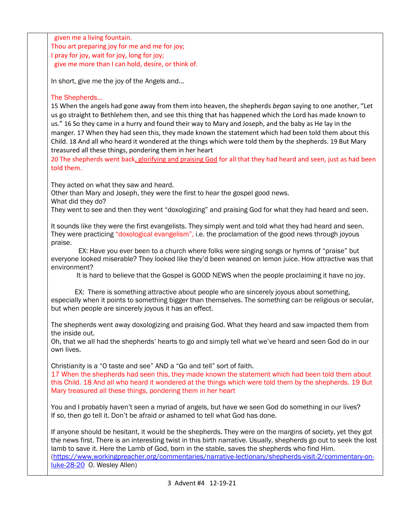given me a living fountain. Thou art preparing joy for me and me for joy; I pray for joy, wait for joy, long for joy; give me more than I can hold, desire, or think of.

In short, give me the joy of the Angels and…

## The Shepherds…

15 When the angels had gone away from them into heaven, the shepherds *began* saying to one another, "Let us go straight to Bethlehem then, and see this thing that has happened which the Lord has made known to us." 16 So they came in a hurry and found their way to Mary and Joseph, and the baby as He lay in the manger. 17 When they had seen this, they made known the statement which had been told them about this Child. 18 And all who heard it wondered at the things which were told them by the shepherds. 19 But Mary treasured all these things, pondering them in her heart

20 The shepherds went back, glorifying and praising God for all that they had heard and seen, just as had been told them.

They acted on what they saw and heard.

Other than Mary and Joseph, they were the first to hear the gospel good news. What did they do?

They went to see and then they went "doxologizing" and praising God for what they had heard and seen.

It sounds like they were the first evangelists. They simply went and told what they had heard and seen. They were practicing "doxological evangelism", i.e. the proclamation of the good news through joyous praise.

 EX: Have you ever been to a church where folks were singing songs or hymns of "praise" but everyone looked miserable? They looked like they'd been weaned on lemon juice. How attractive was that environment?

It is hard to believe that the Gospel is GOOD NEWS when the people proclaiming it have no joy.

 EX: There is something attractive about people who are sincerely joyous about something, especially when it points to something bigger than themselves. The something can be religious or secular, but when people are sincerely joyous it has an effect.

The shepherds went away doxologizing and praising God. What they heard and saw impacted them from the inside out.

Oh, that we all had the shepherds' hearts to go and simply tell what we've heard and seen God do in our own lives.

Christianity is a "O taste and see" AND a "Go and tell" sort of faith.

17 When the shepherds had seen this, they made known the statement which had been told them about this Child. 18 And all who heard it wondered at the things which were told them by the shepherds. 19 But Mary treasured all these things, pondering them in her heart

You and I probably haven't seen a myriad of angels, but have we seen God do something in our lives? If so, then go tell it. Don't be afraid or ashamed to tell what God has done.

If anyone should be hesitant, it would be the shepherds. They were on the margins of society, yet they got the news first. There is an interesting twist in this birth narrative. Usually, shepherds go out to seek the lost lamb to save it. Here the Lamb of God, born in the stable, saves the shepherds who find Him. [\(https://www.workingpreacher.org/commentaries/narrative-lectionary/shepherds-visit-2/commentary-on](https://www.workingpreacher.org/commentaries/narrative-lectionary/shepherds-visit-2/commentary-on-luke-28-20)[luke-28-20](https://www.workingpreacher.org/commentaries/narrative-lectionary/shepherds-visit-2/commentary-on-luke-28-20) O. Wesley Allen)